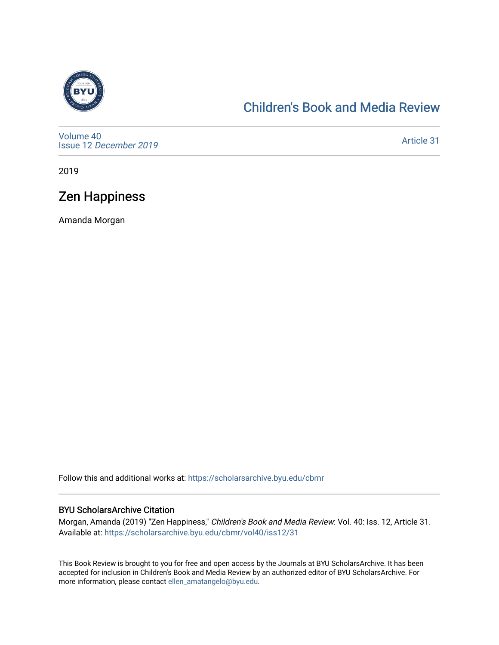

## [Children's Book and Media Review](https://scholarsarchive.byu.edu/cbmr)

[Volume 40](https://scholarsarchive.byu.edu/cbmr/vol40) Issue 12 [December 2019](https://scholarsarchive.byu.edu/cbmr/vol40/iss12)

[Article 31](https://scholarsarchive.byu.edu/cbmr/vol40/iss12/31) 

2019

## Zen Happiness

Amanda Morgan

Follow this and additional works at: [https://scholarsarchive.byu.edu/cbmr](https://scholarsarchive.byu.edu/cbmr?utm_source=scholarsarchive.byu.edu%2Fcbmr%2Fvol40%2Fiss12%2F31&utm_medium=PDF&utm_campaign=PDFCoverPages) 

#### BYU ScholarsArchive Citation

Morgan, Amanda (2019) "Zen Happiness," Children's Book and Media Review: Vol. 40: Iss. 12, Article 31. Available at: [https://scholarsarchive.byu.edu/cbmr/vol40/iss12/31](https://scholarsarchive.byu.edu/cbmr/vol40/iss12/31?utm_source=scholarsarchive.byu.edu%2Fcbmr%2Fvol40%2Fiss12%2F31&utm_medium=PDF&utm_campaign=PDFCoverPages) 

This Book Review is brought to you for free and open access by the Journals at BYU ScholarsArchive. It has been accepted for inclusion in Children's Book and Media Review by an authorized editor of BYU ScholarsArchive. For more information, please contact [ellen\\_amatangelo@byu.edu.](mailto:ellen_amatangelo@byu.edu)